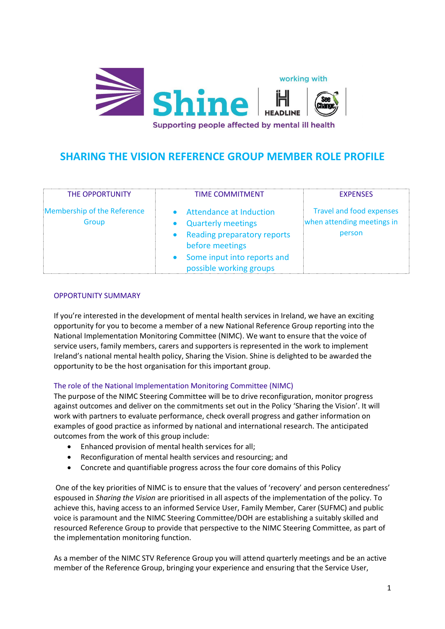

# **SHARING THE VISION REFERENCE GROUP MEMBER ROLE PROFILE**

| THE OPPORTUNITY                      | <b>TIME COMMITMENT</b>                                                                                                                                                      | <b>EXPENSES</b>                                                         |
|--------------------------------------|-----------------------------------------------------------------------------------------------------------------------------------------------------------------------------|-------------------------------------------------------------------------|
| Membership of the Reference<br>Group | <b>Attendance at Induction</b><br><b>Quarterly meetings</b><br>• Reading preparatory reports<br>before meetings<br>• Some input into reports and<br>possible working groups | <b>Travel and food expenses</b><br>when attending meetings in<br>person |

#### OPPORTUNITY SUMMARY

If you're interested in the development of mental health services in Ireland, we have an exciting opportunity for you to become a member of a new National Reference Group reporting into the National Implementation Monitoring Committee (NIMC). We want to ensure that the voice of service users, family members, carers and supporters is represented in the work to implement Ireland's national mental health policy, Sharing the Vision. Shine is delighted to be awarded the opportunity to be the host organisation for this important group.

## The role of the National Implementation Monitoring Committee (NIMC)

The purpose of the NIMC Steering Committee will be to drive reconfiguration, monitor progress against outcomes and deliver on the commitments set out in the Policy 'Sharing the Vision'. It will work with partners to evaluate performance, check overall progress and gather information on examples of good practice as informed by national and international research. The anticipated outcomes from the work of this group include:

- Enhanced provision of mental health services for all;
- Reconfiguration of mental health services and resourcing; and
- Concrete and quantifiable progress across the four core domains of this Policy

One of the key priorities of NIMC is to ensure that the values of 'recovery' and person centeredness' espoused in *Sharing the Vision* are prioritised in all aspects of the implementation of the policy. To achieve this, having access to an informed Service User, Family Member, Carer (SUFMC) and public voice is paramount and the NIMC Steering Committee/DOH are establishing a suitably skilled and resourced Reference Group to provide that perspective to the NIMC Steering Committee, as part of the implementation monitoring function.

As a member of the NIMC STV Reference Group you will attend quarterly meetings and be an active member of the Reference Group, bringing your experience and ensuring that the Service User,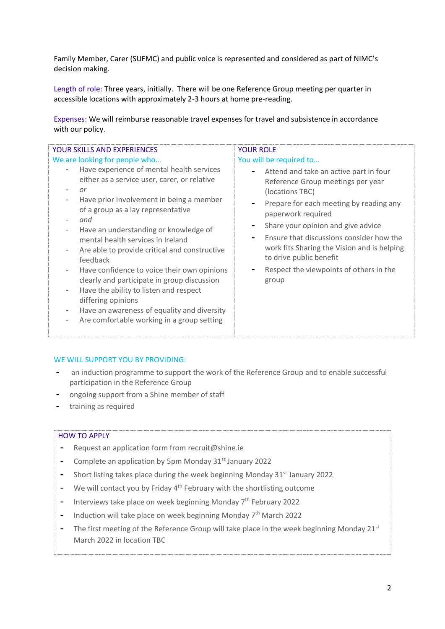Family Member, Carer (SUFMC) and public voice is represented and considered as part of NIMC's decision making.

Length of role: Three years, initially. There will be one Reference Group meeting per quarter in accessible locations with approximately 2-3 hours at home pre-reading.

Expenses: We will reimburse reasonable travel expenses for travel and subsistence in accordance with our policy.

### WE WILL SUPPORT YOU BY PROVIDING:

- **-** an induction programme to support the work of the Reference Group and to enable successful participation in the Reference Group
- **-** ongoing support from a Shine member of staff
- **-** training as required

#### HOW TO APPLY

- **-** Request an application form from recruit@shine.ie
- **-** Complete an application by 5pm Monday 31st January 2022
- **-** Short listing takes place during the week beginning Monday 31<sup>st</sup> January 2022
- **-** We will contact you by Friday 4th February with the shortlisting outcome
- **-** Interviews take place on week beginning Monday 7<sup>th</sup> February 2022
- **-** Induction will take place on week beginning Monday 7th March 2022
- **-** The first meeting of the Reference Group will take place in the week beginning Monday 21<sup>st</sup> March 2022 in location TBC